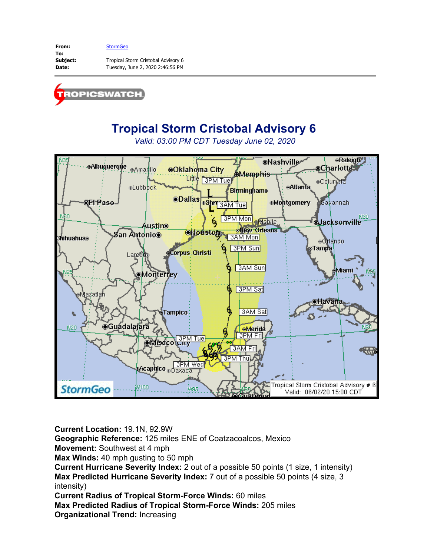**[StormGeo](mailto:tropicswatch@stormgeo.com)** 

**Subject:** Tropical Storm Cristobal Advisory 6 **Date:** Tuesday, June 2, 2020 2:46:56 PM



# **Tropical Storm Cristobal Advisory 6**

*Valid: 03:00 PM CDT Tuesday June 02, 2020*



**Current Location:** 19.1N, 92.9W

**Geographic Reference:** 125 miles ENE of Coatzacoalcos, Mexico

**Movement:** Southwest at 4 mph

**Max Winds:** 40 mph gusting to 50 mph

**Current Hurricane Severity Index:** 2 out of a possible 50 points (1 size, 1 intensity) **Max Predicted Hurricane Severity Index:** 7 out of a possible 50 points (4 size, 3 intensity)

**Current Radius of Tropical Storm-Force Winds:** 60 miles

**Max Predicted Radius of Tropical Storm-Force Winds:** 205 miles **Organizational Trend:** Increasing

**From: To:**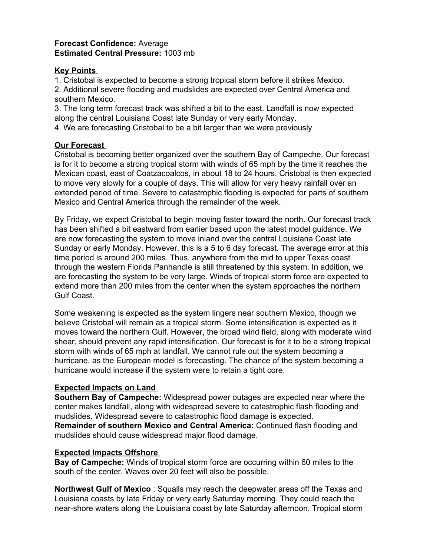#### **Forecast Confidence:** Average **Estimated Central Pressure:** 1003 mb

#### **Key Points**

1. Cristobal is expected to become a strong tropical storm before it strikes Mexico.

2. Additional severe flooding and mudslides are expected over Central America and southern Mexico.

3. The long term forecast track was shifted a bit to the east. Landfall is now expected along the central Louisiana Coast late Sunday or very early Monday.

4. We are forecasting Cristobal to be a bit larger than we were previously

## **Our Forecast**

Cristobal is becoming better organized over the southern Bay of Campeche. Our forecast is for it to become a strong tropical storm with winds of 65 mph by the time it reaches the Mexican coast, east of Coatzacoalcos, in about 18 to 24 hours. Cristobal is then expected to move very slowly for a couple of days. This will allow for very heavy rainfall over an extended period of time. Severe to catastrophic flooding is expected for parts of southern Mexico and Central America through the remainder of the week.

By Friday, we expect Cristobal to begin moving faster toward the north. Our forecast track has been shifted a bit eastward from earlier based upon the latest model guidance. We are now forecasting the system to move inland over the central Louisiana Coast late Sunday or early Monday. However, this is a 5 to 6 day forecast. The average error at this time period is around 200 miles. Thus, anywhere from the mid to upper Texas coast through the western Florida Panhandle is still threatened by this system. In addition, we are forecasting the system to be very large. Winds of tropical storm force are expected to extend more than 200 miles from the center when the system approaches the northern Gulf Coast.

Some weakening is expected as the system lingers near southern Mexico, though we believe Cristobal will remain as a tropical storm. Some intensification is expected as it moves toward the northern Gulf. However, the broad wind field, along with moderate wind shear, should prevent any rapid intensification. Our forecast is for it to be a strong tropical storm with winds of 65 mph at landfall. We cannot rule out the system becoming a hurricane, as the European model is forecasting. The chance of the system becoming a hurricane would increase if the system were to retain a tight core.

## **Expected Impacts on Land**

**Southern Bay of Campeche:** Widespread power outages are expected near where the center makes landfall, along with widespread severe to catastrophic flash flooding and mudslides. Widespread severe to catastrophic flood damage is expected. **Remainder of southern Mexico and Central America:** Continued flash flooding and mudslides should cause widespread major flood damage.

## **Expected Impacts Offshore**

**Bay of Campeche:** Winds of tropical storm force are occurring within 60 miles to the south of the center. Waves over 20 feet will also be possible.

**Northwest Gulf of Mexico** : Squalls may reach the deepwater areas off the Texas and Louisiana coasts by late Friday or very early Saturday morning. They could reach the near-shore waters along the Louisiana coast by late Saturday afternoon. Tropical storm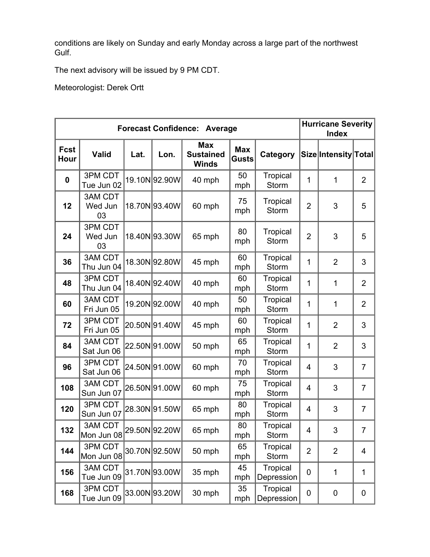conditions are likely on Sunday and early Monday across a large part of the northwest Gulf.

The next advisory will be issued by 9 PM CDT.

Meteorologist: Derek Ortt

| <b>Forecast Confidence: Average</b> |                                 |      |               |                                                |                            |                                 | <b>Hurricane Severity</b><br><b>Index</b> |                      |                |
|-------------------------------------|---------------------------------|------|---------------|------------------------------------------------|----------------------------|---------------------------------|-------------------------------------------|----------------------|----------------|
| <b>Fcst</b><br>Hour                 | <b>Valid</b>                    | Lat. | Lon.          | <b>Max</b><br><b>Sustained</b><br><b>Winds</b> | <b>Max</b><br><b>Gusts</b> | Category                        |                                           | Size Intensity Total |                |
| 0                                   | 3PM CDT<br>Tue Jun 02           |      | 19.10N 92.90W | 40 mph                                         | 50<br>mph                  | <b>Tropical</b><br><b>Storm</b> | 1                                         | 1                    | $\overline{2}$ |
| 12                                  | <b>3AM CDT</b><br>Wed Jun<br>03 |      | 18.70N 93.40W | 60 mph                                         | 75<br>mph                  | Tropical<br><b>Storm</b>        | $\overline{2}$                            | 3                    | 5              |
| 24                                  | 3PM CDT<br>Wed Jun<br>03        |      | 18.40N 93.30W | 65 mph                                         | 80<br>mph                  | Tropical<br><b>Storm</b>        | $\overline{2}$                            | 3                    | 5              |
| 36                                  | <b>3AM CDT</b><br>Thu Jun 04    |      | 18.30N 92.80W | 45 mph                                         | 60<br>mph                  | <b>Tropical</b><br>Storm        | 1                                         | $\overline{2}$       | 3              |
| 48                                  | 3PM CDT<br>Thu Jun 04           |      | 18.40N 92.40W | 40 mph                                         | 60<br>mph                  | Tropical<br>Storm               | 1                                         | 1                    | $\overline{2}$ |
| 60                                  | <b>3AM CDT</b><br>Fri Jun 05    |      | 19.20N 92.00W | 40 mph                                         | 50<br>mph                  | <b>Tropical</b><br>Storm        | 1                                         | 1                    | $\overline{2}$ |
| 72                                  | 3PM CDT<br>Fri Jun 05           |      | 20.50N 91.40W | 45 mph                                         | 60<br>mph                  | Tropical<br>Storm               | 1                                         | $\overline{2}$       | 3              |
| 84                                  | <b>3AM CDT</b><br>Sat Jun 06    |      | 22.50N 91.00W | 50 mph                                         | 65<br>mph                  | <b>Tropical</b><br>Storm        | 1                                         | $\overline{2}$       | 3              |
| 96                                  | 3PM CDT<br>Sat Jun 06           |      | 24.50N 91.00W | 60 mph                                         | 70<br>mph                  | <b>Tropical</b><br><b>Storm</b> | 4                                         | 3                    | $\overline{7}$ |
| 108                                 | <b>3AM CDT</b><br>Sun Jun 07    |      | 26.50N 91.00W | 60 mph                                         | 75<br>mph                  | Tropical<br>Storm               | 4                                         | 3                    | $\overline{7}$ |
| 120                                 | 3PM CDT<br>Sun Jun 07           |      | 28.30N 91.50W | 65 mph                                         | 80<br>mph                  | Tropical<br><b>Storm</b>        | 4                                         | 3                    | $\overline{7}$ |
| 132                                 | <b>3AM CDT</b><br>Mon Jun 08    |      | 29.50N 92.20W | 65 mph                                         | 80<br>mph                  | Tropical<br>Storm               | 4                                         | 3                    | 7              |
| 144                                 | 3PM CDT<br>Mon Jun 08           |      | 30.70N 92.50W | 50 mph                                         | 65<br>mph                  | Tropical<br>Storm               | $\overline{2}$                            | $\overline{2}$       | 4              |
| 156                                 | <b>3AM CDT</b><br>Tue Jun 09    |      | 31.70N 93.00W | 35 mph                                         | 45<br>mph                  | Tropical<br>Depression          | $\mathbf 0$                               | 1                    | 1              |
| 168                                 | 3PM CDT<br>Tue Jun 09           |      | 33.00N 93.20W | 30 mph                                         | 35<br>mph                  | Tropical<br>Depression          | $\pmb{0}$                                 | 0                    | 0              |